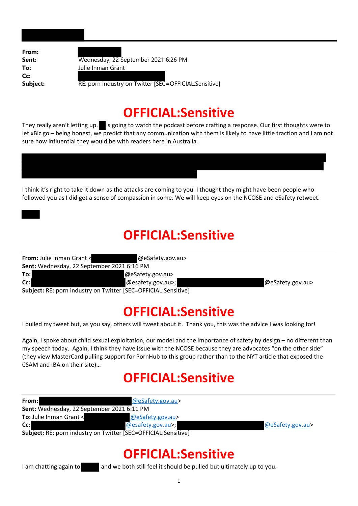**From: Cc:**

**Sent:** Wednesday, 22 September 2021 6:26 PM **To:** Julie Inman Grant

**Subject:** RE: porn industry on Twitter [SEC = OFFICIAL: Sensitive]

### **OFFICIAL:Sensitive**

They really aren't letting up. is going to watch the podcast before crafting a response. Our first thoughts were to let xBiz go – being honest, we predict that any communication with them is likely to have little traction and I am not sure how influential they would be with readers here in Australia.

I think it's right to take it down as the attacks are coming to you. I thought they might have been people who followed you as I did get a sense of compassion in some. We will keep eyes on the NCOSE and eSafety retweet.

### **OFFICIAL:Sensitive**

| From: Julie Inman Grant <                                      | @eSafety.gov.au>  |                  |
|----------------------------------------------------------------|-------------------|------------------|
| Sent: Wednesday, 22 September 2021 6:16 PM                     |                   |                  |
| To:                                                            | @eSafety.gov.au>  |                  |
| $Cc$ :                                                         | @esafety.gov.au>; | @eSafety.gov.au> |
| Subject: RE: porn industry on Twitter [SEC=OFFICIAL:Sensitive] |                   |                  |

## **OFFICIAL:Sensitive**

I pulled my tweet but, as you say, others will tweet about it. Thank you, this was the advice I was looking for!

Again, I spoke about child sexual exploitation, our model and the importance of safety by design – no different than my speech today. Again, I think they have issue with the NCOSE because they are advocates "on the other side" (they view MasterCard pulling support for PornHub to this group rather than to the NYT article that exposed the CSAM and IBA on their site)…

## **OFFICIAL:Sensitive**

| From:                                             | @eSafety.gov.au>                                               |                  |
|---------------------------------------------------|----------------------------------------------------------------|------------------|
| <b>Sent:</b> Wednesday, 22 September 2021 6:11 PM |                                                                |                  |
| <b>To:</b> Julie Inman Grant <                    | @eSafety.gov.au>                                               |                  |
| $Cc$ :                                            | @esafety.gov.au>;                                              | @eSafety.gov.au> |
|                                                   | Cubinet: DE: norm industry on Twitter [CEC_OEEICIAL:Consitive] |                  |

**Subject:** RE: porn industry on Twitter [SEC=OFFICIAL:Sensitive]

## **OFFICIAL:Sensitive**

I am chatting again to and we both still feel it should be pulled but ultimately up to you.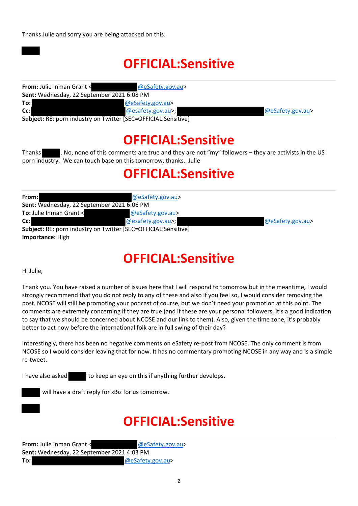# **OFFICIAL:Sensitive**

| <b>From:</b> Julie Inman Grant <                                | @eSafety.gov.au>  |                  |
|-----------------------------------------------------------------|-------------------|------------------|
| <b>Sent:</b> Wednesday, 22 September 2021 6:08 PM               |                   |                  |
| To:l                                                            | @eSafety.gov.au>  |                  |
| $Cc$ :                                                          | @esafety.gov.au>; | @eSafety.gov.au> |
| Subject: PE: norn industry on Twitter [SEC-OEEICIAL: Sensitive] |                   |                  |

**Subject:** RE: porn industry on Twitter [SEC=OFFICIAL:Sensitive]

# **OFFICIAL:Sensitive**

Thanks . No, none of this comments are true and they are not "my" followers – they are activists in the US porn industry. We can touch base on this tomorrow, thanks. Julie

## **OFFICIAL:Sensitive**

| From:                                                          | @eSafety.gov.au>  |                  |
|----------------------------------------------------------------|-------------------|------------------|
| Sent: Wednesday, 22 September 2021 6:06 PM                     |                   |                  |
| To: Julie Inman Grant <                                        | @eSafety.gov.au>  |                  |
| $Cc$ :                                                         | @esafety.gov.au>; | @eSafety.gov.au> |
| Subject: RE: porn industry on Twitter [SEC=OFFICIAL:Sensitive] |                   |                  |
| Importance: High                                               |                   |                  |

# **OFFICIAL:Sensitive**

Hi Julie,

Thank you. You have raised a number of issues here that I will respond to tomorrow but in the meantime, I would strongly recommend that you do not reply to any of these and also if you feel so, I would consider removing the post. NCOSE will still be promoting your podcast of course, but we don't need your promotion at this point. The comments are extremely concerning if they are true (and if these are your personal followers, it's a good indication to say that we should be concerned about NCOSE and our link to them). Also, given the time zone, it's probably better to act now before the international folk are in full swing of their day?

Interestingly, there has been no negative comments on eSafety re‐post from NCOSE. The only comment is from NCOSE so I would consider leaving that for now. It has no commentary promoting NCOSE in any way and is a simple re‐tweet.

I have also asked to keep an eye on this if anything further develops.

will have a draft reply for xBiz for us tomorrow.

# **OFFICIAL:Sensitive**

| <b>From:</b> Julie Inman Grant <           | @eSafety.gov.au> |
|--------------------------------------------|------------------|
| Sent: Wednesday, 22 September 2021 4:03 PM |                  |
| To:l                                       | @eSafety.gov.au> |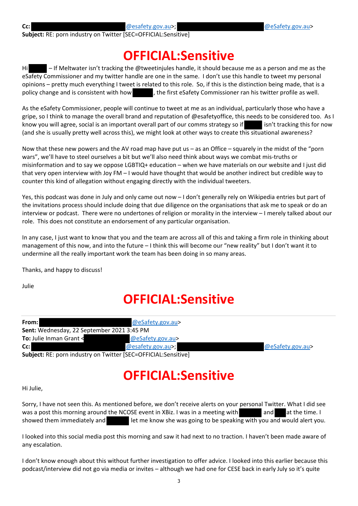**Subject:** RE: porn industry on Twitter [SEC=OFFICIAL:Sensitive]

#### **OFFICIAL:Sensitive**

Hi – If Meltwater isn't tracking the @tweetinjules handle, it should because me as a person and me as the eSafety Commissioner and my twitter handle are one in the same. I don't use this handle to tweet my personal opinions – pretty much everything I tweet is related to this role. So, if this is the distinction being made, that is a policy change and is consistent with how , the first eSafety Commissioner ran his twitter profile as well.

As the eSafety Commissioner, people will continue to tweet at me as an individual, particularly those who have a gripe, so I think to manage the overall brand and reputation of @esafetyoffice, this needs to be considered too. As I know you will agree, social is an important overall part of our comms strategy so if sin't tracking this for now (and she is usually pretty well across this), we might look at other ways to create this situational awareness?

Now that these new powers and the AV road map have put us – as an Office – squarely in the midst of the "porn wars", we'll have to steel ourselves a bit but we'll also need think about ways we combat mis‐truths or misinformation and to say we oppose LGBTIQ+ education – when we have materials on our website and I just did that very open interview with Joy FM – I would have thought that would be another indirect but credible way to counter this kind of allegation without engaging directly with the individual tweeters.

Yes, this podcast was done in July and only came out now – I don't generally rely on Wikipedia entries but part of the invitations process should include doing that due diligence on the organisations that ask me to speak or do an interview or podcast. There were no undertones of religion or morality in the interview – I merely talked about our role. This does not constitute an endorsement of any particular organisation.

In any case, I just want to know that you and the team are across all of this and taking a firm role in thinking about management of this now, and into the future – I think this will become our "new reality" but I don't want it to undermine all the really important work the team has been doing in so many areas.

Thanks, and happy to discuss!

Julie

## **OFFICIAL:Sensitive**

| From: I                                                        | @eSafety.gov.au>  |                  |
|----------------------------------------------------------------|-------------------|------------------|
| <b>Sent:</b> Wednesday, 22 September 2021 3:45 PM              |                   |                  |
| <b>To:</b> Julie Inman Grant <                                 | @eSafety.gov.au>  |                  |
| $Cc$ :                                                         | @esafety.gov.au>; | @eSafety.gov.au> |
| Subject: RE: porn industry on Twitter [SEC=OFFICIAL:Sensitive] |                   |                  |

## **OFFICIAL:Sensitive**

Hi Julie,

Sorry, I have not seen this. As mentioned before, we don't receive alerts on your personal Twitter. What I did see was a post this morning around the NCOSE event in XBiz. I was in a meeting with and at the time. I showed them immediately and **let me know she was going to be speaking with you and would alert you.** 

I looked into this social media post this morning and saw it had next to no traction. I haven't been made aware of any escalation.

I don't know enough about this without further investigation to offer advice. I looked into this earlier because this podcast/interview did not go via media or invites – although we had one for CESE back in early July so it's quite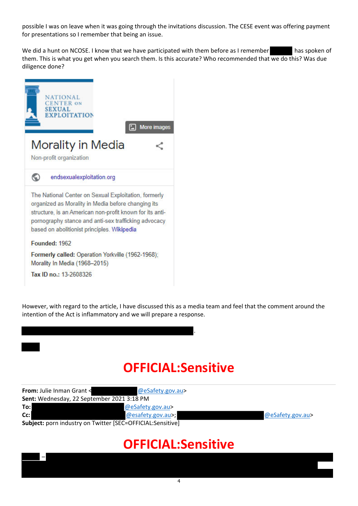possible I was on leave when it was going through the invitations discussion. The CESE event was offering payment for presentations so I remember that being an issue.

We did a hunt on NCOSE. I know that we have participated with them before as I remember has spoken of them. This is what you get when you search them. Is this accurate? Who recommended that we do this? Was due diligence done?



–

However, with regard to the article, I have discussed this as a media team and feel that the comment around the intention of the Act is inflammatory and we will prepare a response.

# **OFFICIAL:Sensitive**

.

| From: Julie Inman Grant <                  | @eSafety.gov.au>                                           |                  |
|--------------------------------------------|------------------------------------------------------------|------------------|
| Sent: Wednesday, 22 September 2021 3:18 PM |                                                            |                  |
| To:l                                       | @eSafety.gov.au>                                           |                  |
| Cc:                                        | @esafety.gov.au>;                                          | @eSafety.gov.au> |
|                                            | Subject: porn industry on Twitter [SEC=OFFICIAL:Sensitive] |                  |

#### **OFFICIAL:Sensitive**